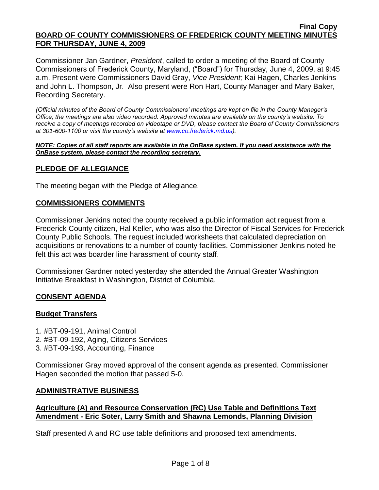Commissioner Jan Gardner, *President*, called to order a meeting of the Board of County Commissioners of Frederick County, Maryland, ("Board") for Thursday, June 4, 2009, at 9:45 a.m. Present were Commissioners David Gray, *Vice President;* Kai Hagen, Charles Jenkins and John L. Thompson, Jr. Also present were Ron Hart, County Manager and Mary Baker, Recording Secretary.

*(Official minutes of the Board of County Commissioners' meetings are kept on file in the County Manager's Office; the meetings are also video recorded. Approved minutes are available on the county's website. To receive a copy of meetings recorded on videotape or DVD, please contact the Board of County Commissioners at 301-600-1100 or visit the county's website at [www.co.frederick.md.us\)](http://www.co.frederick.md.us/).*

#### *NOTE: Copies of all staff reports are available in the OnBase system. If you need assistance with the OnBase system, please contact the recording secretary.*

# **PLEDGE OF ALLEGIANCE**

The meeting began with the Pledge of Allegiance.

### **COMMISSIONERS COMMENTS**

Commissioner Jenkins noted the county received a public information act request from a Frederick County citizen, Hal Keller, who was also the Director of Fiscal Services for Frederick County Public Schools. The request included worksheets that calculated depreciation on acquisitions or renovations to a number of county facilities. Commissioner Jenkins noted he felt this act was boarder line harassment of county staff.

Commissioner Gardner noted yesterday she attended the Annual Greater Washington Initiative Breakfast in Washington, District of Columbia.

### **CONSENT AGENDA**

#### **Budget Transfers**

- 1. #BT-09-191, Animal Control 2. #BT-09-192, Aging, Citizens Services
- 3. #BT-09-193, Accounting, Finance

Commissioner Gray moved approval of the consent agenda as presented. Commissioner Hagen seconded the motion that passed 5-0.

#### **ADMINISTRATIVE BUSINESS**

### **Agriculture (A) and Resource Conservation (RC) Use Table and Definitions Text Amendment - Eric Soter, Larry Smith and Shawna Lemonds, Planning Division**

Staff presented A and RC use table definitions and proposed text amendments.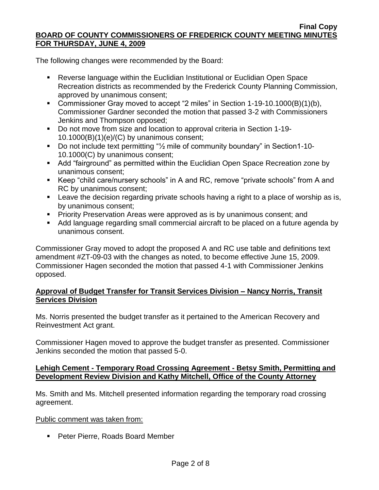The following changes were recommended by the Board:

- Reverse language within the Euclidian Institutional or Euclidian Open Space Recreation districts as recommended by the Frederick County Planning Commission, approved by unanimous consent;
- Commissioner Gray moved to accept "2 miles" in Section 1-19-10.1000(B)(1)(b), Commissioner Gardner seconded the motion that passed 3-2 with Commissioners Jenkins and Thompson opposed;
- Do not move from size and location to approval criteria in Section 1-19- $10.1000(B)(1)(e)/(C)$  by unanimous consent;
- Do not include text permitting "<sup>1</sup>/<sub>2</sub> mile of community boundary" in Section1-10-10.1000(C) by unanimous consent;
- Add "fairground" as permitted within the Euclidian Open Space Recreation zone by unanimous consent;
- Keep "child care/nursery schools" in A and RC, remove "private schools" from A and RC by unanimous consent;
- **EXECT** Leave the decision regarding private schools having a right to a place of worship as is, by unanimous consent;
- **Priority Preservation Areas were approved as is by unanimous consent; and**
- Add language regarding small commercial aircraft to be placed on a future agenda by unanimous consent.

Commissioner Gray moved to adopt the proposed A and RC use table and definitions text amendment #ZT-09-03 with the changes as noted, to become effective June 15, 2009. Commissioner Hagen seconded the motion that passed 4-1 with Commissioner Jenkins opposed.

# **Approval of Budget Transfer for Transit Services Division – Nancy Norris, Transit Services Division**

Ms. Norris presented the budget transfer as it pertained to the American Recovery and Reinvestment Act grant.

Commissioner Hagen moved to approve the budget transfer as presented. Commissioner Jenkins seconded the motion that passed 5-0.

# **Lehigh Cement - Temporary Road Crossing Agreement - Betsy Smith, Permitting and Development Review Division and Kathy Mitchell, Office of the County Attorney**

Ms. Smith and Ms. Mitchell presented information regarding the temporary road crossing agreement.

### Public comment was taken from:

**Peter Pierre, Roads Board Member**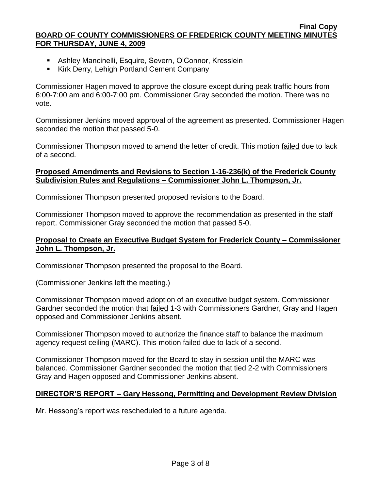- Ashley Mancinelli, Esquire, Severn, O'Connor, Kresslein
- **Kirk Derry, Lehigh Portland Cement Company**

Commissioner Hagen moved to approve the closure except during peak traffic hours from 6:00-7:00 am and 6:00-7:00 pm. Commissioner Gray seconded the motion. There was no vote.

Commissioner Jenkins moved approval of the agreement as presented. Commissioner Hagen seconded the motion that passed 5-0.

Commissioner Thompson moved to amend the letter of credit. This motion failed due to lack of a second.

### **Proposed Amendments and Revisions to Section 1-16-236(k) of the Frederick County Subdivision Rules and Regulations – Commissioner John L. Thompson, Jr.**

Commissioner Thompson presented proposed revisions to the Board.

Commissioner Thompson moved to approve the recommendation as presented in the staff report. Commissioner Gray seconded the motion that passed 5-0.

### **Proposal to Create an Executive Budget System for Frederick County – Commissioner John L. Thompson, Jr.**

Commissioner Thompson presented the proposal to the Board.

(Commissioner Jenkins left the meeting.)

Commissioner Thompson moved adoption of an executive budget system. Commissioner Gardner seconded the motion that **failed 1-3 with Commissioners Gardner**, Gray and Hagen opposed and Commissioner Jenkins absent.

Commissioner Thompson moved to authorize the finance staff to balance the maximum agency request ceiling (MARC). This motion failed due to lack of a second.

Commissioner Thompson moved for the Board to stay in session until the MARC was balanced. Commissioner Gardner seconded the motion that tied 2-2 with Commissioners Gray and Hagen opposed and Commissioner Jenkins absent.

### **DIRECTOR'S REPORT – Gary Hessong, Permitting and Development Review Division**

Mr. Hessong's report was rescheduled to a future agenda.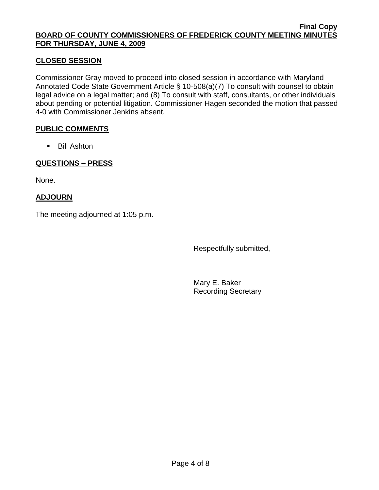# **CLOSED SESSION**

Commissioner Gray moved to proceed into closed session in accordance with Maryland Annotated Code State Government Article § 10-508(a)(7) To consult with counsel to obtain legal advice on a legal matter; and (8) To consult with staff, consultants, or other individuals about pending or potential litigation. Commissioner Hagen seconded the motion that passed 4-0 with Commissioner Jenkins absent.

### **PUBLIC COMMENTS**

Bill Ashton

# **QUESTIONS – PRESS**

None.

# **ADJOURN**

The meeting adjourned at 1:05 p.m.

Respectfully submitted,

Mary E. Baker Recording Secretary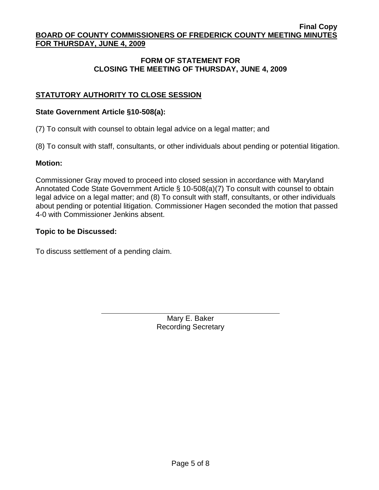# **FORM OF STATEMENT FOR CLOSING THE MEETING OF THURSDAY, JUNE 4, 2009**

# **STATUTORY AUTHORITY TO CLOSE SESSION**

### **State Government Article §10-508(a):**

(7) To consult with counsel to obtain legal advice on a legal matter; and

(8) To consult with staff, consultants, or other individuals about pending or potential litigation.

### **Motion:**

Commissioner Gray moved to proceed into closed session in accordance with Maryland Annotated Code State Government Article § 10-508(a)(7) To consult with counsel to obtain legal advice on a legal matter; and (8) To consult with staff, consultants, or other individuals about pending or potential litigation. Commissioner Hagen seconded the motion that passed 4-0 with Commissioner Jenkins absent.

### **Topic to be Discussed:**

To discuss settlement of a pending claim.

Mary E. Baker Recording Secretary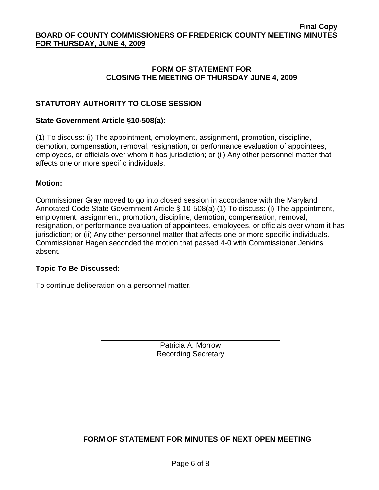# **FORM OF STATEMENT FOR CLOSING THE MEETING OF THURSDAY JUNE 4, 2009**

# **STATUTORY AUTHORITY TO CLOSE SESSION**

### **State Government Article §10-508(a):**

(1) To discuss: (i) The appointment, employment, assignment, promotion, discipline, demotion, compensation, removal, resignation, or performance evaluation of appointees, employees, or officials over whom it has jurisdiction; or (ii) Any other personnel matter that affects one or more specific individuals.

### **Motion:**

Commissioner Gray moved to go into closed session in accordance with the Maryland Annotated Code State Government Article § 10-508(a) (1) To discuss: (i) The appointment, employment, assignment, promotion, discipline, demotion, compensation, removal, resignation, or performance evaluation of appointees, employees, or officials over whom it has jurisdiction; or (ii) Any other personnel matter that affects one or more specific individuals. Commissioner Hagen seconded the motion that passed 4-0 with Commissioner Jenkins absent.

### **Topic To Be Discussed:**

To continue deliberation on a personnel matter.

Patricia A. Morrow Recording Secretary

**FORM OF STATEMENT FOR MINUTES OF NEXT OPEN MEETING**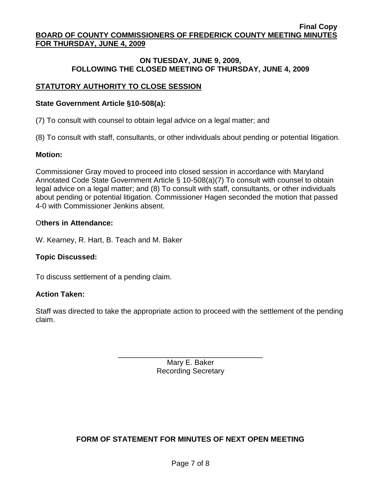### **ON TUESDAY, JUNE 9, 2009, FOLLOWING THE CLOSED MEETING OF THURSDAY, JUNE 4, 2009**

# **STATUTORY AUTHORITY TO CLOSE SESSION**

### **State Government Article §10-508(a):**

(7) To consult with counsel to obtain legal advice on a legal matter; and

(8) To consult with staff, consultants, or other individuals about pending or potential litigation.

# **Motion:**

Commissioner Gray moved to proceed into closed session in accordance with Maryland Annotated Code State Government Article § 10-508(a)(7) To consult with counsel to obtain legal advice on a legal matter; and (8) To consult with staff, consultants, or other individuals about pending or potential litigation. Commissioner Hagen seconded the motion that passed 4-0 with Commissioner Jenkins absent.

# O**thers in Attendance:**

W. Kearney, R. Hart, B. Teach and M. Baker

# **Topic Discussed:**

To discuss settlement of a pending claim.

# **Action Taken:**

Staff was directed to take the appropriate action to proceed with the settlement of the pending claim.

> \_\_\_\_\_\_\_\_\_\_\_\_\_\_\_\_\_\_\_\_\_\_\_\_\_\_\_\_\_\_\_\_\_\_\_ Mary E. Baker Recording Secretary

# **FORM OF STATEMENT FOR MINUTES OF NEXT OPEN MEETING**